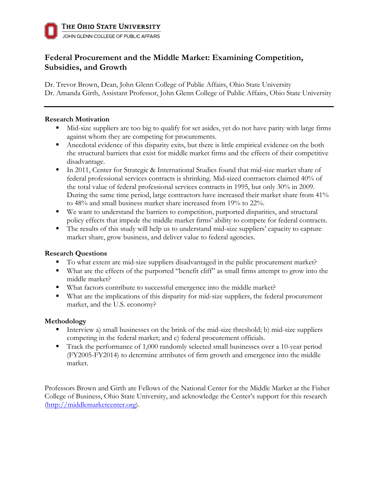# **Federal Procurement and the Middle Market: Examining Competition, Subsidies, and Growth**

Dr. Trevor Brown, Dean, John Glenn College of Public Affairs, Ohio State University Dr. Amanda Girth, Assistant Professor, John Glenn College of Public Affairs, Ohio State University

#### **Research Motivation**

- Mid-size suppliers are too big to qualify for set asides, yet do not have parity with large firms against whom they are competing for procurements.
- Anecdotal evidence of this disparity exits, but there is little empirical evidence on the both the structural barriers that exist for middle market firms and the effects of their competitive disadvantage.
- In 2011, Center for Strategic & International Studies found that mid-size market share of federal professional services contracts is shrinking. Mid-sized contractors claimed 40% of the total value of federal professional services contracts in 1995, but only 30% in 2009. During the same time period, large contractors have increased their market share from 41% to 48% and small business market share increased from 19% to 22%.
- We want to understand the barriers to competition, purported disparities, and structural policy effects that impede the middle market firms' ability to compete for federal contracts.
- The results of this study will help us to understand mid-size suppliers' capacity to capture market share, grow business, and deliver value to federal agencies.

## **Research Questions**

- § To what extent are mid-size suppliers disadvantaged in the public procurement market?
- What are the effects of the purported "benefit cliff" as small firms attempt to grow into the middle market?
- What factors contribute to successful emergence into the middle market?
- What are the implications of this disparity for mid-size suppliers, the federal procurement market, and the U.S. economy?

## **Methodology**

- Interview a) small businesses on the brink of the mid-size threshold; b) mid-size suppliers competing in the federal market; and c) federal procurement officials.
- Track the performance of 1,000 randomly selected small businesses over a 10-year period (FY2005-FY2014) to determine attributes of firm growth and emergence into the middle market.

Professors Brown and Girth are Fellows of the National Center for the Middle Market at the Fisher College of Business, Ohio State University, and acknowledge the Center's support for this research (http://middlemarketcenter.org).